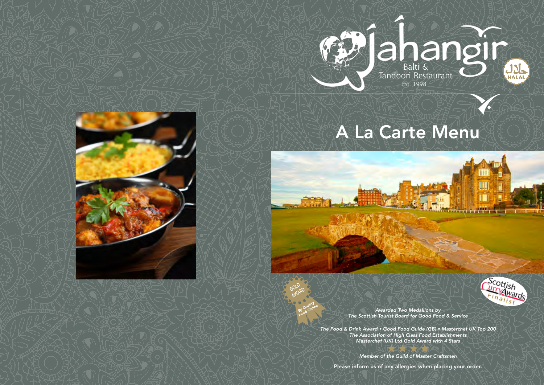# A La Carte Menu



*Awarded Two Medallions by The Scottish Tourist Board for Good Food & Service*

*The Food & Drink Award • Good Food Guide (GB) • Masterchef UK Top 200 The Association of High Class Food Establishments Masterchef (UK) Ltd Gold Award with 4 Stars*

*GOLD* **AWARD** 

> *Member of the Guild of Master Craftsmen* Please inform us of any allergies when placing your order.



**TITLE** 

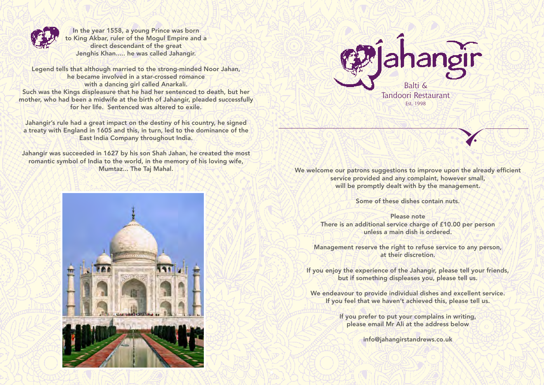

Mumtaz... The Taj Mahal. We welcome our patrons suggestions to improve upon the already efficient service provided and any complaint, however small, will be promptly dealt with by the management.



In the year 1558, a young Prince was born to King Akbar, ruler of the Mogul Empire and a direct descendant of the great Jenghis Khan..... he was called Jahangir.

Legend tells that although married to the strong-minded Noor Jahan, he became involved in a star-crossed romance with a dancing girl called Anarkali. Such was the Kings displeasure that he had her sentenced to death, but her mother, who had been a midwife at the birth of Jahangir, pleaded successfully for her life. Sentenced was altered to exile.

Jahangir's rule had a great impact on the destiny of his country, he signed a treaty with England in 1605 and this, in turn, led to the dominance of the East India Company throughout India.

> We endeavour to provide individual dishes and excellent service. If you feel that we haven't achieved this, please tell us.

Jahangir was succeeded in 1627 by his son Shah Jahan, he created the most romantic symbol of India to the world, in the memory of his loving wife,



Some of these dishes contain nuts.

Please note There is an additional service charge of £10.00 per person unless a main dish is ordered.

Management reserve the right to refuse service to any person, at their discretion.

If you enjoy the experience of the Jahangir, please tell your friends, but if something displeases you, please tell us.

> If you prefer to put your complains in writing, please email Mr Ali at the address below

> > info@jahangirstandrews.co.uk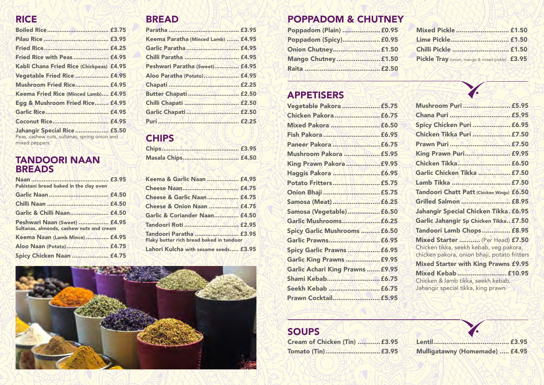| Mushroom Puri  £5.95                                                                                                       |  |
|----------------------------------------------------------------------------------------------------------------------------|--|
|                                                                                                                            |  |
| Spicy Chicken Puri  £6.95                                                                                                  |  |
| Chicken Tikka Puri  £7.50                                                                                                  |  |
| Prawn Puri  £7.50                                                                                                          |  |
| <b>King Prawn Puri £9.95</b>                                                                                               |  |
| Chicken Tikka £6.50                                                                                                        |  |
| Garlic Chicken Tikka  £7.50                                                                                                |  |
| Lamb Tikka  £7.50                                                                                                          |  |
| Tandoori Chatt Patt (Chicken Wings) £6.50                                                                                  |  |
| Grilled Salmon  £8.95                                                                                                      |  |
| Jahangir Special Chicken Tikka. £6.95                                                                                      |  |
| Garlic Jahangir Sp Chicken Tikka £7.50                                                                                     |  |
| Tandoori Lamb Chops  £8.95                                                                                                 |  |
| Mixed Starter  (Per Head) £7.50<br>Chicken tikka, seekh kebab, veg pakora,<br>chicken pakora, onion bhaji, potato fritters |  |
| <b>Mixed Starter with King Prawns £9.95</b>                                                                                |  |
| Mixed Kebab  £10.95<br>Chicken & lamb tikka, seekh kebab,<br>Jahangir special tikka, king prawn                            |  |

Cream of Chicken (Tin) ............£3.95 Lentil........................................ £3.95 Mulligatawny (Homemade) ..... £4.95

### POPPADOM & CHUTNEY

| Chilli Pickle  £1.50                            |
|-------------------------------------------------|
| Pickle Tray (onion, mango & mixed pickle) £3.95 |
|                                                 |
|                                                 |

### SOUPS

| Cream of Chicken (Tin)  £3.95 |  |  |
|-------------------------------|--|--|
|                               |  |  |

| Mixed Pickle  £1.50                             |  |
|-------------------------------------------------|--|
| Lime Pickle £1.50                               |  |
| Chilli Pickle  £1.50                            |  |
| Pickle Tray (onion, mango & mixed pickle) £3.95 |  |

### RICE

| <b>Fried Rice with Peas £4.95</b>                                                                     |  |
|-------------------------------------------------------------------------------------------------------|--|
| Kabli Chana Fried Rice (Chickpeas) £4.95                                                              |  |
| Vegetable Fried Rice  £4.95                                                                           |  |
| <b>Mushroom Fried Rice £4.95</b>                                                                      |  |
| Keema Fried Rice (Minced Lamb) £4.95                                                                  |  |
| Egg & Mushroom Fried Rice £4.95                                                                       |  |
|                                                                                                       |  |
| Coconut Rice £4.95                                                                                    |  |
| <b>Jahangir Special Rice  £5.50</b><br>Peas, cashew nuts, sultanas, spring onion and<br>mixed peppers |  |

### BREAD

| Keema Paratha (Minced Lamb)  £4.95 |  |
|------------------------------------|--|
| Garlic Paratha  £4.95              |  |
|                                    |  |
| Peshwari Paratha (Sweet) £4.95     |  |
| Aloo Paratha (Potato) £4.95        |  |
|                                    |  |
| <b>Butter Chapati  £2.50</b>       |  |
|                                    |  |
|                                    |  |
|                                    |  |

### **CHIPS**

| <b>Masala Chips £4.50</b> |  |
|---------------------------|--|

### Masala Chips................................ £4.50 TANDOORI NAAN BREADS

| Pakistani bread baked in the clay oven                                   | 5 |
|--------------------------------------------------------------------------|---|
|                                                                          |   |
|                                                                          |   |
| Garlic & Chilli Naan £4.50                                               |   |
| Peshwari Naan (Sweet)  £4.95<br>Sultanas, almonds, cashew nuts and cream |   |
| Keema Naan (Lamb Mince)  £4.95                                           |   |
| Aloo Naan (Potato) £4.75                                                 |   |
| Spicy Chicken Naan  £4.75                                                |   |

| Keema & Garlic Naan  £4.95                                          |  |
|---------------------------------------------------------------------|--|
| Cheese Naan £4.75                                                   |  |
| <b>Cheese &amp; Garlic Naan £4.75</b>                               |  |
| <b>Cheese &amp; Onion Naan  £4.75</b>                               |  |
| Garlic & Coriander Naan £4.50                                       |  |
| Tandoori Roti  £2.95                                                |  |
| Tandoori Paratha  £3.95<br>Flaky butter rich bread baked in tandoor |  |
| Lahori Kulcha with sesame seeds £3.95                               |  |



## APPETISERS

| Vegetable Pakora  £5.75           |  |
|-----------------------------------|--|
| Chicken Pakora £6.75              |  |
|                                   |  |
|                                   |  |
| Paneer Pakora  £6.75              |  |
| Mushroom Pakora  £5.95            |  |
| King Prawn Pakora  £9.95          |  |
| Haggis Pakora  £6.95              |  |
|                                   |  |
| Onion Bhaji  £5.75                |  |
| Samosa (Meat)  £6.25              |  |
| Samosa (Vegetable)  £6.50         |  |
| Garlic Mushrooms £6.25            |  |
| Spicy Garlic Mushrooms  £6.50     |  |
| Garlic Prawns £6.95               |  |
| <b>Spicy Garlic Prawns  £6.95</b> |  |
| <b>Garlic King Prawns  £9.95</b>  |  |
| Garlic Achari King Prawns  £9.95  |  |
|                                   |  |
| Seekh Kebab  £6.75                |  |
| Prawn Cocktail £5.95              |  |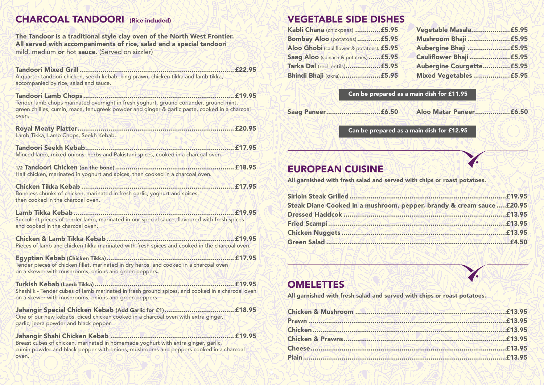### CHARCOAL TANDOORI (Rice included)

The Tandoor is a traditional style clay oven of the North West Frontier. All served with accompaniments of rice, salad and a special tandoori mild, medium or hot sauce. (Served on sizzler)

Tandoori Mixed Grill................................................................................ £22.95 A quarter tandoori chicken, seekh kebab, king prawn, chicken tikka and lamb tikka, accompanied by rice, salad and sauce.

Tandoori Lamb Chops .............................................................................. £19.95 Tender lamb chops marinated overnight in fresh yoghurt, ground coriander, ground mint, green chillies, cumin, mace, fenugreek powder and ginger & garlic paste, cooked in a charcoal oven.

Royal Meaty Platter................................................................................. £20.95 Lamb Tikka, Lamb Chops, Seekh Kebab.

Tandoori Seekh Kebab............................................................................. £17.95 Minced lamb, mixed onions, herbs and Pakistani spices, cooked in a charcoal oven.

1/2 Tandoori Chicken (on the bone) ............................................................. £18.95 Half chicken, marinated in yoghurt and spices, then cooked in a charcoal oven.

Chicken Tikka Kebab ............................................................................... £17.95 Boneless chunks of chicken, marinated in fresh garlic, yoghurt and spices, then cooked in the charcoal oven.

Lamb Tikka Kebab................................................................................... £19.95 Succulent pieces of tender lamb, marinated in our special sauce, flavoured with fresh spices and cooked in the charcoal oven.

Chicken & Lamb Tikka Kebab.................................................................. £19.95 Pieces of lamb and chicken tikka marinated with fresh spices and cooked in the charcoal oven.

Egyptian Kebab (Chicken Tikka).................................................................. £17.95 Tender pieces of chicken fillet, marinated in dry herbs, and cooked in a charcoal oven on a skewer with mushrooms, onions and green peppers.

Turkish Kebab (Lamb Tikka) ........................................................................ £19.95 Shashlik - Tender cubes of lamb marinated in fresh ground spices, and cooked in a charcoal oven on a skewer with mushrooms, onions and green peppers.

Jahangir Special Chicken Kebab (Add Garlic for £1).................................... £18.95 One of our new kebabs, diced chicken cooked in a charcoal oven with extra ginger, garlic, jeera powder and black pepper.

Jahangir Shahi Chicken Kebab ................................................................ £19.95 Breast cubes of chicken, marinated in homemade yoghurt with extra ginger, garlic, cumin powder and black pepper with onions, mushrooms and peppers cooked in a charcoal oven.

### VEGETABLE SIDE DISHES

| Kabli Chana (chickpeas)  £5.95             |                           |
|--------------------------------------------|---------------------------|
| <b>Bombay Aloo (potatoes) £5.95</b>        | Mushroom Bhaji<br>E5.95   |
| Aloo Ghobi (cauliflower & potatoes). £5.95 |                           |
| Saag Aloo (spinach & potatoes)  £5.95      |                           |
| Tarka Dal (red lentils) £5.95              | Aubergine Courgette £5.95 |
|                                            | Mixed Vegetables £5.95    |



| pper, brandy & cream sauce£20.95 |  |
|----------------------------------|--|
|                                  |  |
|                                  |  |
|                                  |  |
|                                  |  |
|                                  |  |



| Kabli Chana (chickpeas)  £5.95             |                           |
|--------------------------------------------|---------------------------|
|                                            |                           |
| Aloo Ghobi (cauliflower & potatoes). £5.95 |                           |
| Saag Aloo (spinach & potatoes)  £5.95      |                           |
|                                            | Aubergine Courgette £5.95 |
|                                            | Mixed Vegetables £5.95    |

Can be prepared as a main dish for £11.95

Saag Paneer............................£6.50 Aloo Matar Paneer..................£6.50

Can be prepared as a main dish for £12.95

### EUROPEAN CUISINE

All garnished with fresh salad and served with chips or roast potatoes.

| Steak Diane Cooked in a mushroom, pepper, brandy & cream sauce £20.95 |  |
|-----------------------------------------------------------------------|--|
|                                                                       |  |
|                                                                       |  |
|                                                                       |  |
|                                                                       |  |

### **OMELETTES**

All garnished with fresh salad and served with chips or roast potatoes.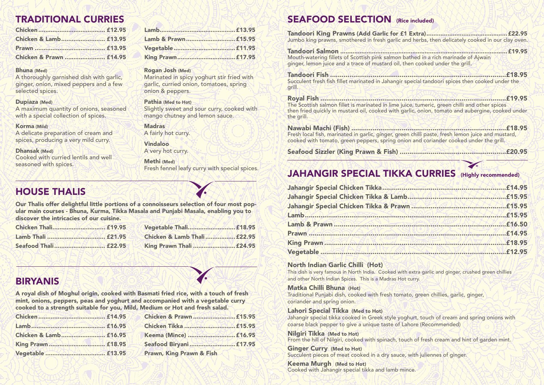### SEAFOOD SELECTION (Rice included)

Tandoori King Prawns (Add Garlic for £1 E Jumbo king prawns, smothered in fresh garlic and

Tandoori Salmon ...............................................................................................£19.95 Mouth-watering fillets of Scottish pink salmon bath ginger, lemon juice and a trace of mustard oil, then

Nawabi Machi (Fish) ................................................................................£18.95 Fresh local fish, marinated in garlic, ginger, green cooked with tomato, green peppers, spring onion

Seafood Sizzler (King Prawn & Fish) ......

### **JAHANGIR SPECIAL TIKKA**

Tandoori Fish ...........................................................................................£18.95 Succulent fresh fish fillet marinated in Jahangir spice grill.

Royal Fish ................................................................................................£19.95 The Scottish salmon fillet is marinated in lime juice then fried quickly in mustard oil, cooked with garl the grill.

A maximum quantity of onions, seasoned with a special collection of spices.

### North Indian Garlic Chilli (Hot) This dish is very famous in North India. Cooked with extra garlic and ginger, crushed green chillies

and other North Indian Spices. This is a Madras Hot curry. Matka Chilli Bhuna (Hot) Traditional Punjabi dish, cooked with fresh tomato, green chillies, garlic, ginger, coriander and spring onion.

Lahori Special Tikka (Med to Hot)

Jahangir special tikka cooked in Greek style yoghurt, touch of cream and spring onions with coarse black pepper to give a unique taste of Lahore (Recommended)

Nilgiri Tikka (Med to Hot) From the hill of Nilgiri, cooked with spinach, touch of fresh cream and hint of garden mint.

Ginger Curry (Med to Hot) Succulent pieces of meat cooked in a dry sauce, with juliennes of ginger.

Keema Murgh (Med to Hot) Cooked with Jahangir special tikka and lamb mince.

| chilli paste, fresh lemon juice and mustard,<br>and coriander cooked under the grill.<br>£20.95         |
|---------------------------------------------------------------------------------------------------------|
| £18.95                                                                                                  |
| $$ £19.95<br>e, tumeric, green chilli and other spices<br>ic, onion, tomato and aubergine, cooked under |
| £18.95<br>ecial tandoori spices then cooked under the                                                   |
| E19.95<br>hed in a rich marinade of Ajwain<br>n cooked under the grill.                                 |
| $$ £22.95<br><b>Extra)</b><br>I herbs, then delicately cooked in our clay oven.                         |

## TRADITIONAL CURRIES

| Chicken & Lamb £13.95   |  |
|-------------------------|--|
|                         |  |
| Chicken & Prawn  £14.95 |  |

Chicken...................................... £12.95 Lamb...........................................£13.95 Chicken & Lamb......................... £13.95 Lamb & Prawn............................£15.95

Prawn ........................................ £13.95 Vegetable...................................£11.95

Chicken & Prawn ....................... £14.95 King Prawn.................................£17.95

#### Bhuna (Med)

A thoroughly garnished dish with garlic, ginger, onion, mixed peppers and a few selected spices.

#### Dupiaza (Med)

#### Korma (Mild)

A delicate preparation of cream and spices, producing a very mild curry.

#### Dhansak (Med)

Cooked with curried lentils and well seasoned with spices.

Rogan Josh (Med)

Marinated in spicy yoghurt stir fried with garlic, curried onion, tomatoes, spring

onion & peppers.

Pathia (Med to Hot)

Slightly sweet and sour curry, cooked with

mango chutney and lemon sauce.

A fairly hot curry.

Vindaloo

A very hot curry.

**Madras** 

Methi (Med)

Fresh fennel leafy curry with special spices.

### HOUSE THALIS

Our Thalis offer delightful little portions of a connoisseurs selection of four most popular main courses - Bhuna, Kurma, Tikka Masala and Punjabi Masala, enabling you to discover the intricacies of our cuisine.

| Chicken Thali £19.95 | Vegetable Thali £18.95          |
|----------------------|---------------------------------|
|                      | Chicken & Lamb Thali  £22.95    |
| Seafood Thali £22.95 | <b>King Prawn Thali  £24.95</b> |

| Vegetable Thali £18.95      |  |
|-----------------------------|--|
| Chicken & Lamb Thali £22.95 |  |
| King Prawn Thali  £24.95    |  |

### BIRYANIS

A royal dish of Moghul origin, cooked with Basmati fried rice, with a touch of fresh mint, onions, peppers, peas and yoghurt and accompanied with a vegetable curry cooked to a strength suitable for you, Mild, Medium or Hot and fresh salad.

|                       | Chicken & Prawn  £15.95             |
|-----------------------|-------------------------------------|
|                       | Chicken Tikka  £15.95               |
| Chicken & Lamb £16.95 | Keema (Mince)  £16.95               |
|                       |                                     |
|                       | <b>Prawn, King Prawn &amp; Fish</b> |

| Chicken & Prawn  £15.95             |  |
|-------------------------------------|--|
| Chicken Tikka  £15.95               |  |
| Keema (Mince)  £16.95               |  |
| Seafood Biryani  £17.95             |  |
| <b>Prawn, King Prawn &amp; Fish</b> |  |